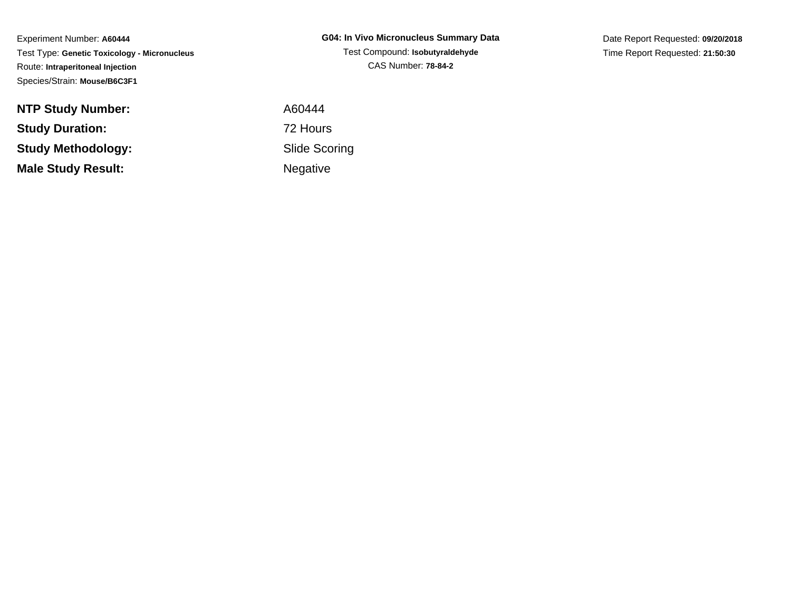Experiment Number: **A60444** Test Type: **Genetic Toxicology - Micronucleus**Route: **Intraperitoneal Injection**Species/Strain: **Mouse/B6C3F1**

| G04: In Vivo Micronucleus Summarv Data |
|----------------------------------------|
| Test Compound: Isobutyraldehyde        |
| <b>CAS Number: 78-84-2</b>             |

Date Report Requested: **09/20/2018**Time Report Requested: **21:50:30**

| <b>NTP Study Number:</b>  | A60444          |
|---------------------------|-----------------|
| <b>Study Duration:</b>    | 72 Hours        |
| Study Methodology:        | Slide Sco       |
| <b>Male Study Result:</b> | <b>Negative</b> |

 A60444 Slide ScoringNegative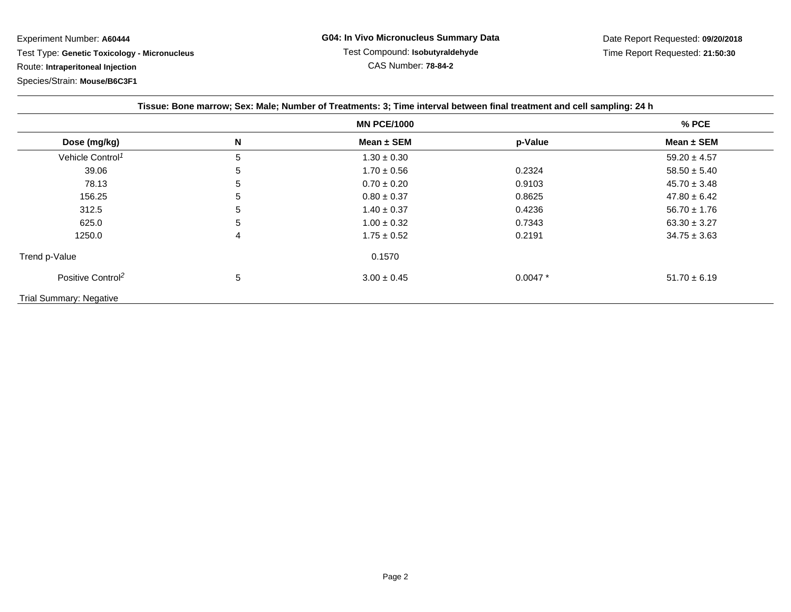Experiment Number: **A60444**

Test Type: **Genetic Toxicology - Micronucleus**

Route: **Intraperitoneal Injection**

Species/Strain: **Mouse/B6C3F1**

|                                | Tissue: Bone marrow; Sex: Male; Number of Treatments: 3; Time interval between final treatment and cell sampling: 24 h | % PCE                                |           |                  |
|--------------------------------|------------------------------------------------------------------------------------------------------------------------|--------------------------------------|-----------|------------------|
| Dose (mg/kg)                   | N                                                                                                                      | <b>MN PCE/1000</b><br>Mean $\pm$ SEM | p-Value   | Mean $\pm$ SEM   |
| Vehicle Control <sup>1</sup>   | 5                                                                                                                      | $1.30 \pm 0.30$                      |           | $59.20 \pm 4.57$ |
| 39.06                          | 5                                                                                                                      | $1.70 \pm 0.56$                      | 0.2324    | $58.50 \pm 5.40$ |
| 78.13                          | 5                                                                                                                      | $0.70 \pm 0.20$                      | 0.9103    | $45.70 \pm 3.48$ |
| 156.25                         | 5                                                                                                                      | $0.80 \pm 0.37$                      | 0.8625    | $47.80 \pm 6.42$ |
| 312.5                          | 5                                                                                                                      | $1.40 \pm 0.37$                      | 0.4236    | $56.70 \pm 1.76$ |
| 625.0                          | 5                                                                                                                      | $1.00 \pm 0.32$                      | 0.7343    | $63.30 \pm 3.27$ |
| 1250.0                         | 4                                                                                                                      | $1.75 \pm 0.52$                      | 0.2191    | $34.75 \pm 3.63$ |
| Trend p-Value                  |                                                                                                                        | 0.1570                               |           |                  |
| Positive Control <sup>2</sup>  | 5                                                                                                                      | $3.00 \pm 0.45$                      | $0.0047*$ | $51.70 \pm 6.19$ |
| <b>Trial Summary: Negative</b> |                                                                                                                        |                                      |           |                  |